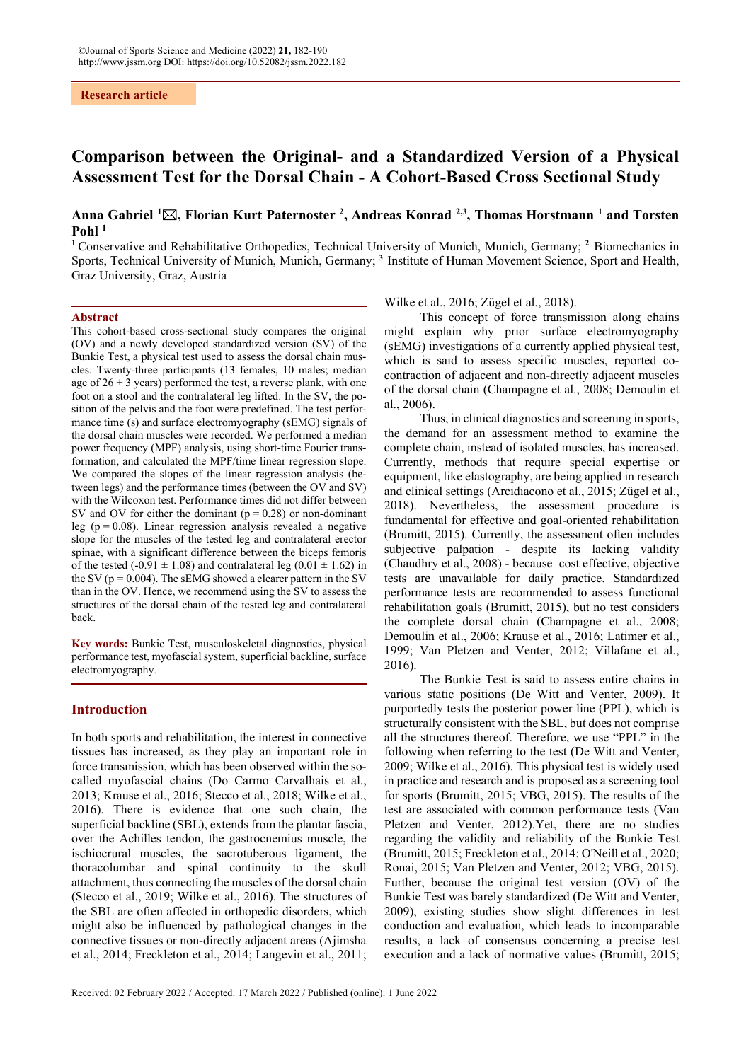# **Research article**

# **Comparison between the Original- and a Standardized Version of a Physical Assessment Test for the Dorsal Chain - A Cohort-Based Cross Sectional Study**

# **Anna Gabriel 1 , Florian Kurt Paternoster 2 , Andreas Konrad 2,3, Thomas Horstmann 1 and Torsten Pohl 1**

**<sup>1</sup>** Conservative and Rehabilitative Orthopedics, Technical University of Munich, Munich, Germany; **<sup>2</sup>** Biomechanics in Sports, Technical University of Munich, Munich, Germany; **<sup>3</sup>** Institute of Human Movement Science, Sport and Health, Graz University, Graz, Austria

#### **Abstract**

This cohort-based cross-sectional study compares the original (OV) and a newly developed standardized version (SV) of the Bunkie Test, a physical test used to assess the dorsal chain muscles. Twenty-three participants (13 females, 10 males; median age of  $26 \pm 3$  years) performed the test, a reverse plank, with one foot on a stool and the contralateral leg lifted. In the SV, the position of the pelvis and the foot were predefined. The test performance time (s) and surface electromyography (sEMG) signals of the dorsal chain muscles were recorded. We performed a median power frequency (MPF) analysis, using short-time Fourier transformation, and calculated the MPF/time linear regression slope. We compared the slopes of the linear regression analysis (between legs) and the performance times (between the OV and SV) with the Wilcoxon test. Performance times did not differ between SV and OV for either the dominant  $(p = 0.28)$  or non-dominant leg ( $p = 0.08$ ). Linear regression analysis revealed a negative slope for the muscles of the tested leg and contralateral erector spinae, with a significant difference between the biceps femoris of the tested (-0.91  $\pm$  1.08) and contralateral leg (0.01  $\pm$  1.62) in the SV ( $p = 0.004$ ). The sEMG showed a clearer pattern in the SV than in the OV. Hence, we recommend using the SV to assess the structures of the dorsal chain of the tested leg and contralateral back.

**Key words:** Bunkie Test, musculoskeletal diagnostics, physical performance test, myofascial system, superficial backline, surface electromyography.

# **Introduction**

In both sports and rehabilitation, the interest in connective tissues has increased, as they play an important role in force transmission, which has been observed within the socalled myofascial chains (Do Carmo Carvalhais et al., 2013; Krause et al., 2016; Stecco et al., 2018; Wilke et al., 2016). There is evidence that one such chain, the superficial backline (SBL), extends from the plantar fascia, over the Achilles tendon, the gastrocnemius muscle, the ischiocrural muscles, the sacrotuberous ligament, the thoracolumbar and spinal continuity to the skull attachment, thus connecting the muscles of the dorsal chain (Stecco et al., 2019; Wilke et al., 2016). The structures of the SBL are often affected in orthopedic disorders, which might also be influenced by pathological changes in the connective tissues or non-directly adjacent areas (Ajimsha et al., 2014; Freckleton et al., 2014; Langevin et al., 2011;

Wilke et al., 2016; Zügel et al., 2018).

This concept of force transmission along chains might explain why prior surface electromyography (sEMG) investigations of a currently applied physical test, which is said to assess specific muscles, reported cocontraction of adjacent and non-directly adjacent muscles of the dorsal chain (Champagne et al., 2008; Demoulin et al., 2006).

Thus, in clinical diagnostics and screening in sports, the demand for an assessment method to examine the complete chain, instead of isolated muscles, has increased. Currently, methods that require special expertise or equipment, like elastography, are being applied in research and clinical settings (Arcidiacono et al., 2015; Zügel et al., 2018). Nevertheless, the assessment procedure is fundamental for effective and goal-oriented rehabilitation (Brumitt, 2015). Currently, the assessment often includes subjective palpation - despite its lacking validity (Chaudhry et al., 2008) - because cost effective, objective tests are unavailable for daily practice. Standardized performance tests are recommended to assess functional rehabilitation goals (Brumitt, 2015), but no test considers the complete dorsal chain (Champagne et al., 2008; Demoulin et al., 2006; Krause et al., 2016; Latimer et al., 1999; Van Pletzen and Venter, 2012; Villafane et al., 2016).

The Bunkie Test is said to assess entire chains in various static positions (De Witt and Venter, 2009). It purportedly tests the posterior power line (PPL), which is structurally consistent with the SBL, but does not comprise all the structures thereof. Therefore, we use "PPL" in the following when referring to the test (De Witt and Venter, 2009; Wilke et al., 2016). This physical test is widely used in practice and research and is proposed as a screening tool for sports (Brumitt, 2015; VBG, 2015). The results of the test are associated with common performance tests (Van Pletzen and Venter, 2012).Yet, there are no studies regarding the validity and reliability of the Bunkie Test (Brumitt, 2015; Freckleton et al., 2014; O'Neill et al., 2020; Ronai, 2015; Van Pletzen and Venter, 2012; VBG, 2015). Further, because the original test version (OV) of the Bunkie Test was barely standardized (De Witt and Venter, 2009), existing studies show slight differences in test conduction and evaluation, which leads to incomparable results, a lack of consensus concerning a precise test execution and a lack of normative values (Brumitt, 2015;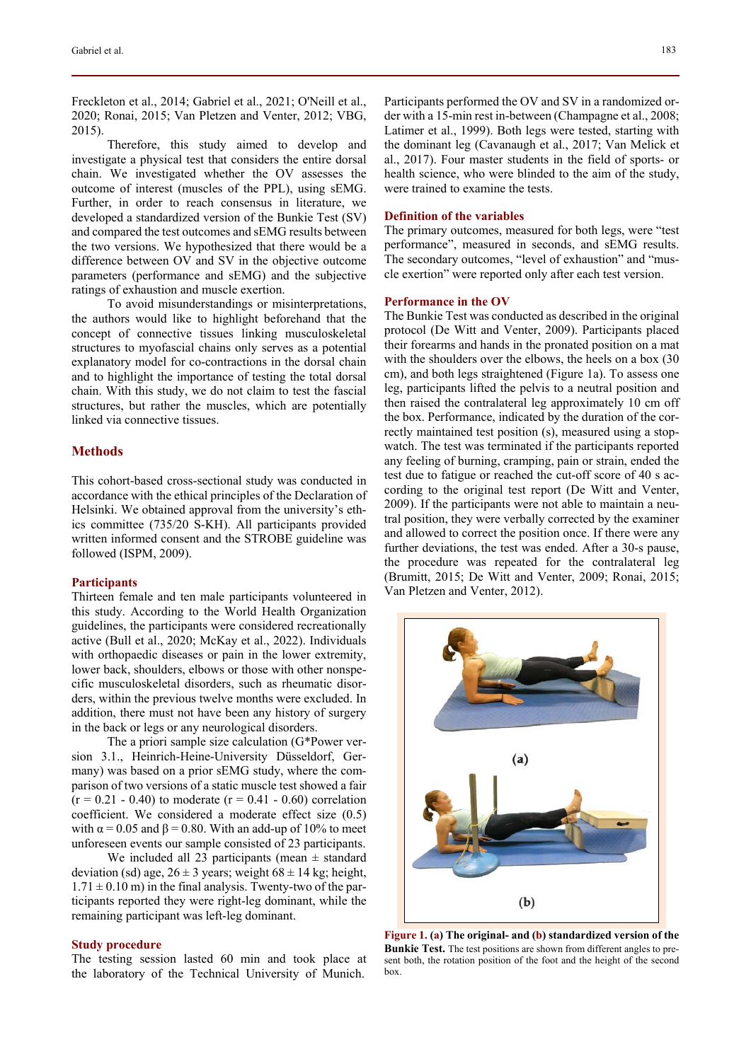Freckleton et al., 2014; Gabriel et al., 2021; O'Neill et al., 2020; Ronai, 2015; Van Pletzen and Venter, 2012; VBG, 2015).

Therefore, this study aimed to develop and investigate a physical test that considers the entire dorsal chain. We investigated whether the OV assesses the outcome of interest (muscles of the PPL), using sEMG. Further, in order to reach consensus in literature, we developed a standardized version of the Bunkie Test (SV) and compared the test outcomes and sEMG results between the two versions. We hypothesized that there would be a difference between OV and SV in the objective outcome parameters (performance and sEMG) and the subjective ratings of exhaustion and muscle exertion.

To avoid misunderstandings or misinterpretations, the authors would like to highlight beforehand that the concept of connective tissues linking musculoskeletal structures to myofascial chains only serves as a potential explanatory model for co-contractions in the dorsal chain and to highlight the importance of testing the total dorsal chain. With this study, we do not claim to test the fascial structures, but rather the muscles, which are potentially linked via connective tissues.

# **Methods**

This cohort-based cross-sectional study was conducted in accordance with the ethical principles of the Declaration of Helsinki. We obtained approval from the university's ethics committee (735/20 S-KH). All participants provided written informed consent and the STROBE guideline was followed (ISPM, 2009).

#### **Participants**

Thirteen female and ten male participants volunteered in this study. According to the World Health Organization guidelines, the participants were considered recreationally active (Bull et al., 2020; McKay et al., 2022). Individuals with orthopaedic diseases or pain in the lower extremity, lower back, shoulders, elbows or those with other nonspecific musculoskeletal disorders, such as rheumatic disorders, within the previous twelve months were excluded. In addition, there must not have been any history of surgery in the back or legs or any neurological disorders.

The a priori sample size calculation (G\*Power version 3.1., Heinrich-Heine-University Düsseldorf, Germany) was based on a prior sEMG study, where the comparison of two versions of a static muscle test showed a fair  $(r = 0.21 - 0.40)$  to moderate  $(r = 0.41 - 0.60)$  correlation coefficient. We considered a moderate effect size (0.5) with  $\alpha$  = 0.05 and  $\beta$  = 0.80. With an add-up of 10% to meet unforeseen events our sample consisted of 23 participants.

We included all 23 participants (mean  $\pm$  standard deviation (sd) age,  $26 \pm 3$  years; weight  $68 \pm 14$  kg; height,  $1.71 \pm 0.10$  m) in the final analysis. Twenty-two of the participants reported they were right-leg dominant, while the remaining participant was left-leg dominant.

# **Study procedure**

The testing session lasted 60 min and took place at the laboratory of the Technical University of Munich.

Participants performed the OV and SV in a randomized order with a 15-min rest in-between (Champagne et al., 2008; Latimer et al., 1999). Both legs were tested, starting with the dominant leg (Cavanaugh et al., 2017; Van Melick et al., 2017). Four master students in the field of sports- or health science, who were blinded to the aim of the study, were trained to examine the tests.

# **Definition of the variables**

The primary outcomes, measured for both legs, were "test performance", measured in seconds, and sEMG results. The secondary outcomes, "level of exhaustion" and "muscle exertion" were reported only after each test version.

# **Performance in the OV**

The Bunkie Test was conducted as described in the original protocol (De Witt and Venter, 2009). Participants placed their forearms and hands in the pronated position on a mat with the shoulders over the elbows, the heels on a box (30) cm), and both legs straightened (Figure 1a). To assess one leg, participants lifted the pelvis to a neutral position and then raised the contralateral leg approximately 10 cm off the box. Performance, indicated by the duration of the correctly maintained test position (s), measured using a stopwatch. The test was terminated if the participants reported any feeling of burning, cramping, pain or strain, ended the test due to fatigue or reached the cut-off score of 40 s according to the original test report (De Witt and Venter, 2009). If the participants were not able to maintain a neutral position, they were verbally corrected by the examiner and allowed to correct the position once. If there were any further deviations, the test was ended. After a 30-s pause, the procedure was repeated for the contralateral leg (Brumitt, 2015; De Witt and Venter, 2009; Ronai, 2015; Van Pletzen and Venter, 2012).



**Figure 1. (a) The original- and (b) standardized version of the Bunkie Test.** The test positions are shown from different angles to present both, the rotation position of the foot and the height of the second box.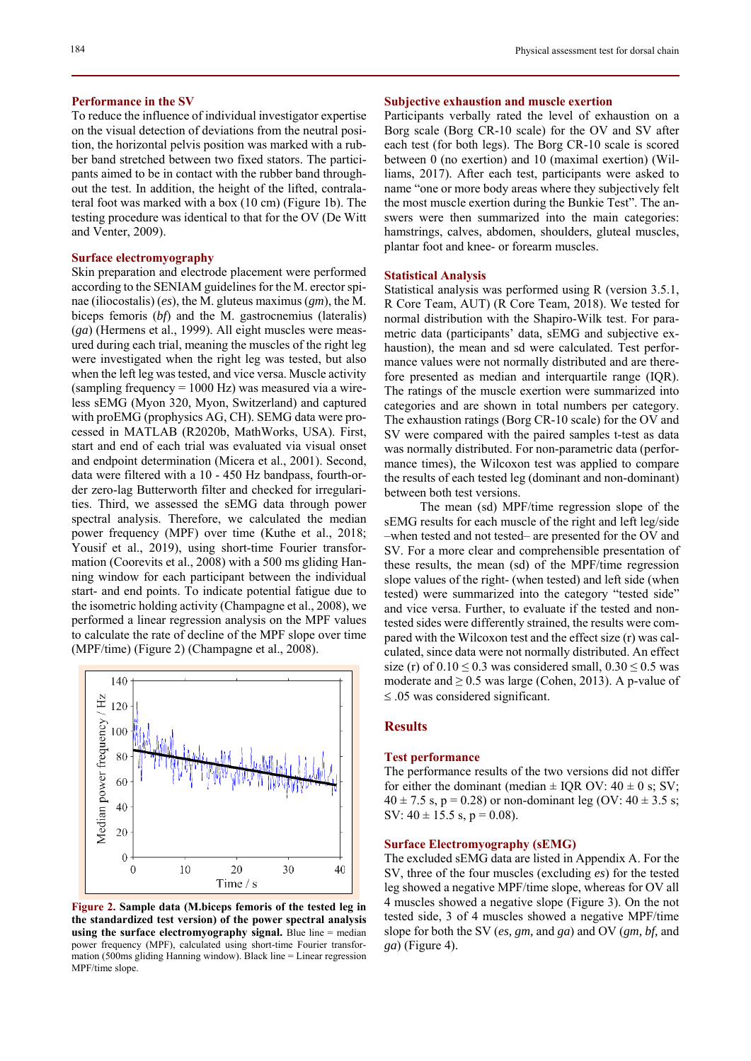### **Performance in the SV**

To reduce the influence of individual investigator expertise on the visual detection of deviations from the neutral position, the horizontal pelvis position was marked with a rubber band stretched between two fixed stators. The participants aimed to be in contact with the rubber band throughout the test. In addition, the height of the lifted, contralateral foot was marked with a box (10 cm) (Figure 1b). The testing procedure was identical to that for the OV (De Witt and Venter, 2009).

# **Surface electromyography**

Skin preparation and electrode placement were performed according to the SENIAM guidelines for the M. erector spinae (iliocostalis) (*es*), the M. gluteus maximus (*gm*), the M. biceps femoris (*bf*) and the M. gastrocnemius (lateralis) (*ga*) (Hermens et al., 1999). All eight muscles were measured during each trial, meaning the muscles of the right leg were investigated when the right leg was tested, but also when the left leg was tested, and vice versa. Muscle activity (sampling frequency  $= 1000$  Hz) was measured via a wireless sEMG (Myon 320, Myon, Switzerland) and captured with proEMG (prophysics AG, CH). SEMG data were processed in MATLAB (R2020b, MathWorks, USA). First, start and end of each trial was evaluated via visual onset and endpoint determination (Micera et al., 2001). Second, data were filtered with a 10 - 450 Hz bandpass, fourth-order zero-lag Butterworth filter and checked for irregularities. Third, we assessed the sEMG data through power spectral analysis. Therefore, we calculated the median power frequency (MPF) over time (Kuthe et al., 2018; Yousif et al., 2019), using short-time Fourier transformation (Coorevits et al., 2008) with a 500 ms gliding Hanning window for each participant between the individual start- and end points. To indicate potential fatigue due to the isometric holding activity (Champagne et al., 2008), we performed a linear regression analysis on the MPF values to calculate the rate of decline of the MPF slope over time (MPF/time) (Figure 2) (Champagne et al., 2008).



**Figure 2. Sample data (M.biceps femoris of the tested leg in the standardized test version) of the power spectral analysis using the surface electromyography signal.** Blue line = median power frequency (MPF), calculated using short-time Fourier transformation (500ms gliding Hanning window). Black line = Linear regression MPF/time slope.

# **Subjective exhaustion and muscle exertion**

Participants verbally rated the level of exhaustion on a Borg scale (Borg CR-10 scale) for the OV and SV after each test (for both legs). The Borg CR-10 scale is scored between 0 (no exertion) and 10 (maximal exertion) (Williams, 2017). After each test, participants were asked to name "one or more body areas where they subjectively felt the most muscle exertion during the Bunkie Test". The answers were then summarized into the main categories: hamstrings, calves, abdomen, shoulders, gluteal muscles, plantar foot and knee- or forearm muscles.

# **Statistical Analysis**

Statistical analysis was performed using R (version 3.5.1, R Core Team, AUT) (R Core Team, 2018). We tested for normal distribution with the Shapiro-Wilk test. For parametric data (participants' data, sEMG and subjective exhaustion), the mean and sd were calculated. Test performance values were not normally distributed and are therefore presented as median and interquartile range (IQR). The ratings of the muscle exertion were summarized into categories and are shown in total numbers per category. The exhaustion ratings (Borg CR-10 scale) for the OV and SV were compared with the paired samples t-test as data was normally distributed. For non-parametric data (performance times), the Wilcoxon test was applied to compare the results of each tested leg (dominant and non-dominant) between both test versions.

The mean (sd) MPF/time regression slope of the sEMG results for each muscle of the right and left leg/side –when tested and not tested– are presented for the OV and SV. For a more clear and comprehensible presentation of these results, the mean (sd) of the MPF/time regression slope values of the right- (when tested) and left side (when tested) were summarized into the category "tested side" and vice versa. Further, to evaluate if the tested and nontested sides were differently strained, the results were compared with the Wilcoxon test and the effect size (r) was calculated, since data were not normally distributed. An effect size (r) of  $0.10 \le 0.3$  was considered small,  $0.30 \le 0.5$  was moderate and  $\geq 0.5$  was large (Cohen, 2013). A p-value of  $\leq$  .05 was considered significant.

### **Results**

# **Test performance**

The performance results of the two versions did not differ for either the dominant (median  $\pm$  IQR OV: 40  $\pm$  0 s; SV;  $40 \pm 7.5$  s, p = 0.28) or non-dominant leg (OV:  $40 \pm 3.5$  s; SV:  $40 \pm 15.5$  s,  $p = 0.08$ ).

#### **Surface Electromyography (sEMG)**

The excluded sEMG data are listed in Appendix A. For the SV, three of the four muscles (excluding *es*) for the tested leg showed a negative MPF/time slope, whereas for OV all 4 muscles showed a negative slope (Figure 3). On the not tested side, 3 of 4 muscles showed a negative MPF/time slope for both the SV (*es, gm,* and *ga*) and OV (*gm, bf,* and *ga*) (Figure 4).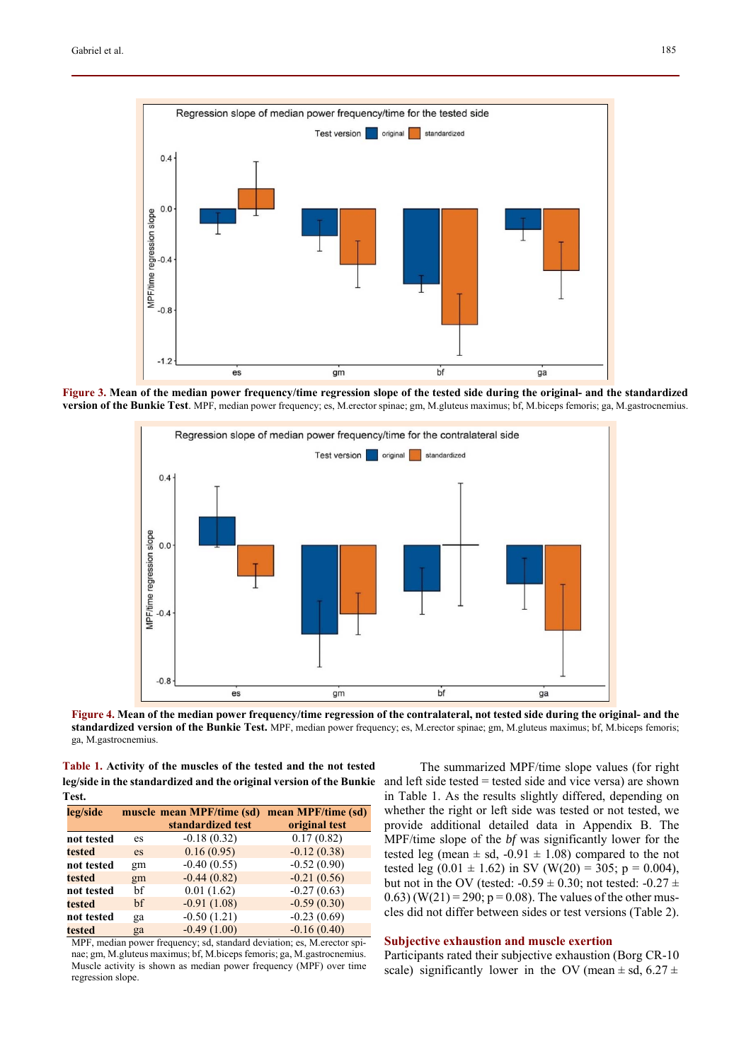

**Figure 3. Mean of the median power frequency/time regression slope of the tested side during the original- and the standardized version of the Bunkie Test**. MPF, median power frequency; es, M.erector spinae; gm, M.gluteus maximus; bf, M.biceps femoris; ga, M.gastrocnemius.



**Figure 4. Mean of the median power frequency/time regression of the contralateral, not tested side during the original- and the standardized version of the Bunkie Test.** MPF, median power frequency; es, M.erector spinae; gm, M.gluteus maximus; bf, M.biceps femoris; ga, M.gastrocnemius.

**Table 1. Activity of the muscles of the tested and the not tested leg/side in the standardized and the original version of the Bunkie**  and left side tested = tested side and vice versa) are shown **Test.** 

| leg/side   |    | muscle mean MPF/time (sd) | mean MPF/time (sd) |
|------------|----|---------------------------|--------------------|
|            |    | standardized test         | original test      |
| not tested | es | $-0.18(0.32)$             | 0.17(0.82)         |
| tested     | es | 0.16(0.95)                | $-0.12(0.38)$      |
| not tested | gm | $-0.40(0.55)$             | $-0.52(0.90)$      |
| tested     | gm | $-0.44(0.82)$             | $-0.21(0.56)$      |
| not tested | hf | 0.01(1.62)                | $-0.27(0.63)$      |
| tested     | hf | $-0.91(1.08)$             | $-0.59(0.30)$      |
| not tested | ga | $-0.50(1.21)$             | $-0.23(0.69)$      |
| tested     | ga | $-0.49(1.00)$             | $-0.16(0.40)$      |

MPF, median power frequency; sd, standard deviation; es, M.erector spinae; gm, M.gluteus maximus; bf, M.biceps femoris; ga, M.gastrocnemius. Muscle activity is shown as median power frequency (MPF) over time regression slope.

The summarized MPF/time slope values (for right in Table 1. As the results slightly differed, depending on whether the right or left side was tested or not tested, we provide additional detailed data in Appendix B. The MPF/time slope of the *bf* was significantly lower for the tested leg (mean  $\pm$  sd, -0.91  $\pm$  1.08) compared to the not tested leg  $(0.01 \pm 1.62)$  in SV  $(W(20) = 305; p = 0.004)$ , but not in the OV (tested:  $-0.59 \pm 0.30$ ; not tested:  $-0.27 \pm 0.000$ 0.63) (W(21) = 290;  $p = 0.08$ ). The values of the other muscles did not differ between sides or test versions (Table 2).

# **Subjective exhaustion and muscle exertion**

Participants rated their subjective exhaustion (Borg CR-10 scale) significantly lower in the OV (mean  $\pm$  sd, 6.27  $\pm$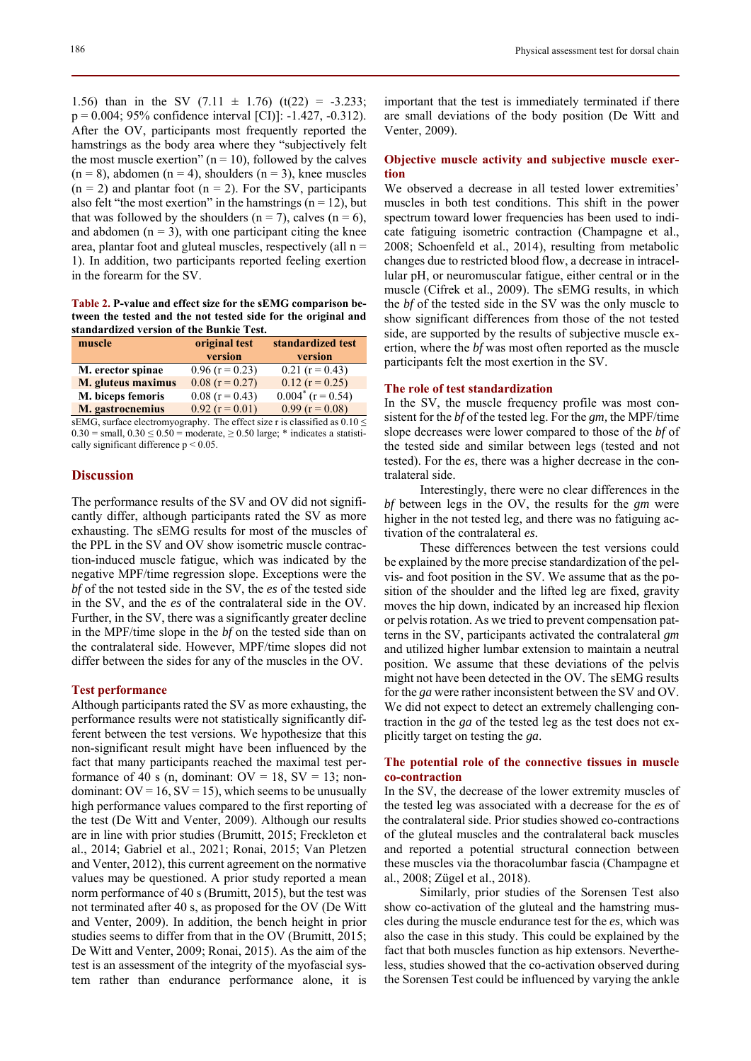1.56) than in the SV  $(7.11 \pm 1.76)$   $(t(22) = -3.233)$ ;  $p = 0.004$ ; 95% confidence interval [CI)]: -1.427, -0.312). After the OV, participants most frequently reported the hamstrings as the body area where they "subjectively felt the most muscle exertion" ( $n = 10$ ), followed by the calves  $(n = 8)$ , abdomen  $(n = 4)$ , shoulders  $(n = 3)$ , knee muscles  $(n = 2)$  and plantar foot  $(n = 2)$ . For the SV, participants also felt "the most exertion" in the hamstrings ( $n = 12$ ), but that was followed by the shoulders ( $n = 7$ ), calves ( $n = 6$ ), and abdomen  $(n = 3)$ , with one participant citing the knee area, plantar foot and gluteal muscles, respectively (all  $n =$ 1). In addition, two participants reported feeling exertion in the forearm for the SV.

**Table 2. P-value and effect size for the sEMG comparison between the tested and the not tested side for the original and standardized version of the Bunkie Test.** 

| muscle             | original test     | standardized test    |
|--------------------|-------------------|----------------------|
|                    | version           | version              |
| M. erector spinae  | $0.96$ (r = 0.23) | $0.21$ (r = 0.43)    |
| M. gluteus maximus | $0.08$ (r = 0.27) | $0.12$ (r = 0.25)    |
| M. biceps femoris  | $0.08$ (r = 0.43) | $0.004^*$ (r = 0.54) |
| M. gastrocnemius   | $0.92$ (r = 0.01) | $0.99$ (r = 0.08)    |

sEMG, surface electromyography. The effect size r is classified as  $0.10 \le$  $0.30$  = small,  $0.30 \le 0.50$  = moderate,  $\ge 0.50$  large; \* indicates a statistically significant difference  $p < 0.05$ .

# **Discussion**

The performance results of the SV and OV did not significantly differ, although participants rated the SV as more exhausting. The sEMG results for most of the muscles of the PPL in the SV and OV show isometric muscle contraction-induced muscle fatigue, which was indicated by the negative MPF/time regression slope. Exceptions were the *bf* of the not tested side in the SV, the *es* of the tested side in the SV, and the *es* of the contralateral side in the OV. Further, in the SV, there was a significantly greater decline in the MPF/time slope in the *bf* on the tested side than on the contralateral side. However, MPF/time slopes did not differ between the sides for any of the muscles in the OV.

#### **Test performance**

Although participants rated the SV as more exhausting, the performance results were not statistically significantly different between the test versions. We hypothesize that this non-significant result might have been influenced by the fact that many participants reached the maximal test performance of 40 s (n, dominant:  $OV = 18$ ,  $SV = 13$ ; nondominant:  $OV = 16$ ,  $SV = 15$ ), which seems to be unusually high performance values compared to the first reporting of the test (De Witt and Venter, 2009). Although our results are in line with prior studies (Brumitt, 2015; Freckleton et al., 2014; Gabriel et al., 2021; Ronai, 2015; Van Pletzen and Venter, 2012), this current agreement on the normative values may be questioned. A prior study reported a mean norm performance of 40 s (Brumitt, 2015), but the test was not terminated after 40 s, as proposed for the OV (De Witt and Venter, 2009). In addition, the bench height in prior studies seems to differ from that in the OV (Brumitt, 2015; De Witt and Venter, 2009; Ronai, 2015). As the aim of the test is an assessment of the integrity of the myofascial system rather than endurance performance alone, it is

important that the test is immediately terminated if there are small deviations of the body position (De Witt and Venter, 2009).

# **Objective muscle activity and subjective muscle exertion**

We observed a decrease in all tested lower extremities' muscles in both test conditions. This shift in the power spectrum toward lower frequencies has been used to indicate fatiguing isometric contraction (Champagne et al., 2008; Schoenfeld et al., 2014), resulting from metabolic changes due to restricted blood flow, a decrease in intracellular pH, or neuromuscular fatigue, either central or in the muscle (Cifrek et al., 2009). The sEMG results, in which the *bf* of the tested side in the SV was the only muscle to show significant differences from those of the not tested side, are supported by the results of subjective muscle exertion, where the *bf* was most often reported as the muscle participants felt the most exertion in the SV.

#### **The role of test standardization**

In the SV, the muscle frequency profile was most consistent for the *bf* of the tested leg. For the *gm,* the MPF/time slope decreases were lower compared to those of the *bf* of the tested side and similar between legs (tested and not tested). For the *es*, there was a higher decrease in the contralateral side.

Interestingly, there were no clear differences in the *bf* between legs in the OV, the results for the *gm* were higher in the not tested leg, and there was no fatiguing activation of the contralateral *es*.

These differences between the test versions could be explained by the more precise standardization of the pelvis- and foot position in the SV. We assume that as the position of the shoulder and the lifted leg are fixed, gravity moves the hip down, indicated by an increased hip flexion or pelvis rotation. As we tried to prevent compensation patterns in the SV, participants activated the contralateral *gm* and utilized higher lumbar extension to maintain a neutral position. We assume that these deviations of the pelvis might not have been detected in the OV. The sEMG results for the *ga* were rather inconsistent between the SV and OV. We did not expect to detect an extremely challenging contraction in the *ga* of the tested leg as the test does not explicitly target on testing the *ga*.

# **The potential role of the connective tissues in muscle co-contraction**

In the SV, the decrease of the lower extremity muscles of the tested leg was associated with a decrease for the *es* of the contralateral side. Prior studies showed co-contractions of the gluteal muscles and the contralateral back muscles and reported a potential structural connection between these muscles via the thoracolumbar fascia (Champagne et al., 2008; Zügel et al., 2018).

Similarly, prior studies of the Sorensen Test also show co-activation of the gluteal and the hamstring muscles during the muscle endurance test for the *es*, which was also the case in this study. This could be explained by the fact that both muscles function as hip extensors. Nevertheless, studies showed that the co-activation observed during the Sorensen Test could be influenced by varying the ankle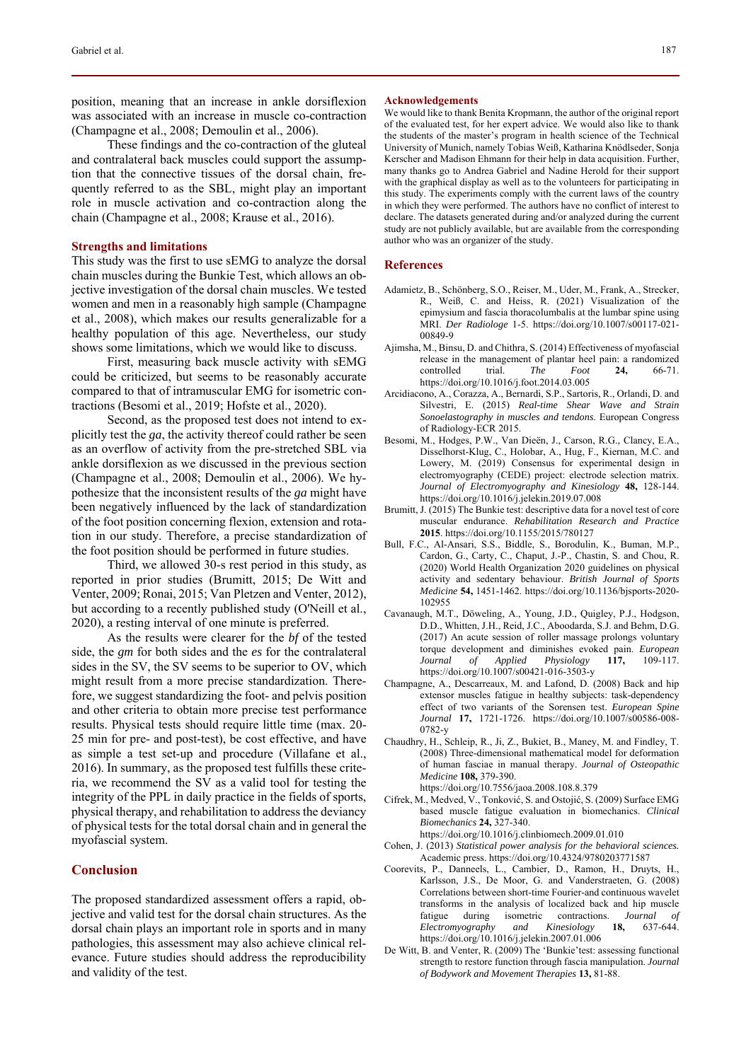position, meaning that an increase in ankle dorsiflexion was associated with an increase in muscle co-contraction (Champagne et al., 2008; Demoulin et al., 2006).

These findings and the co-contraction of the gluteal and contralateral back muscles could support the assumption that the connective tissues of the dorsal chain, frequently referred to as the SBL, might play an important role in muscle activation and co-contraction along the chain (Champagne et al., 2008; Krause et al., 2016).

#### **Strengths and limitations**

This study was the first to use sEMG to analyze the dorsal chain muscles during the Bunkie Test, which allows an objective investigation of the dorsal chain muscles. We tested women and men in a reasonably high sample (Champagne et al., 2008), which makes our results generalizable for a healthy population of this age. Nevertheless, our study shows some limitations, which we would like to discuss.

First, measuring back muscle activity with sEMG could be criticized, but seems to be reasonably accurate compared to that of intramuscular EMG for isometric contractions (Besomi et al., 2019; Hofste et al., 2020).

Second, as the proposed test does not intend to explicitly test the *ga*, the activity thereof could rather be seen as an overflow of activity from the pre-stretched SBL via ankle dorsiflexion as we discussed in the previous section (Champagne et al., 2008; Demoulin et al., 2006). We hypothesize that the inconsistent results of the *ga* might have been negatively influenced by the lack of standardization of the foot position concerning flexion, extension and rotation in our study. Therefore, a precise standardization of the foot position should be performed in future studies.

Third, we allowed 30-s rest period in this study, as reported in prior studies (Brumitt, 2015; De Witt and Venter, 2009; Ronai, 2015; Van Pletzen and Venter, 2012), but according to a recently published study (O'Neill et al., 2020), a resting interval of one minute is preferred.

As the results were clearer for the *bf* of the tested side, the *gm* for both sides and the *es* for the contralateral sides in the SV, the SV seems to be superior to OV, which might result from a more precise standardization. Therefore, we suggest standardizing the foot- and pelvis position and other criteria to obtain more precise test performance results. Physical tests should require little time (max. 20- 25 min for pre- and post-test), be cost effective, and have as simple a test set-up and procedure (Villafane et al., 2016). In summary, as the proposed test fulfills these criteria, we recommend the SV as a valid tool for testing the integrity of the PPL in daily practice in the fields of sports, physical therapy, and rehabilitation to address the deviancy of physical tests for the total dorsal chain and in general the myofascial system.

# **Conclusion**

The proposed standardized assessment offers a rapid, objective and valid test for the dorsal chain structures. As the dorsal chain plays an important role in sports and in many pathologies, this assessment may also achieve clinical relevance. Future studies should address the reproducibility and validity of the test.

#### **Acknowledgements**

We would like to thank Benita Kropmann, the author of the original report of the evaluated test, for her expert advice. We would also like to thank the students of the master's program in health science of the Technical University of Munich, namely Tobias Weiß, Katharina Knödlseder, Sonja Kerscher and Madison Ehmann for their help in data acquisition. Further, many thanks go to Andrea Gabriel and Nadine Herold for their support with the graphical display as well as to the volunteers for participating in this study. The experiments comply with the current laws of the country in which they were performed. The authors have no conflict of interest to declare. The datasets generated during and/or analyzed during the current study are not publicly available, but are available from the corresponding author who was an organizer of the study.

# **References**

- Adamietz, B., Schönberg, S.O., Reiser, M., Uder, M., Frank, A., Strecker, R., Weiß, C. and Heiss, R. (2021) Visualization of the epimysium and fascia thoracolumbalis at the lumbar spine using MRI. *Der Radiologe* 1-5. https://doi.org/10.1007/s00117-021- 00849-9
- Ajimsha, M., Binsu, D. and Chithra, S. (2014) Effectiveness of myofascial release in the management of plantar heel pain: a randomized controlled trial. *The Foot* **24,** 66-71. https://doi.org/10.1016/j.foot.2014.03.005
- Arcidiacono, A., Corazza, A., Bernardi, S.P., Sartoris, R., Orlandi, D. and Silvestri, E. (2015) *Real-time Shear Wave and Strain Sonoelastography in muscles and tendons*. European Congress of Radiology-ECR 2015.
- Besomi, M., Hodges, P.W., Van Dieën, J., Carson, R.G., Clancy, E.A., Disselhorst-Klug, C., Holobar, A., Hug, F., Kiernan, M.C. and Lowery, M. (2019) Consensus for experimental design in electromyography (CEDE) project: electrode selection matrix. *Journal of Electromyography and Kinesiology* **48,** 128-144. https://doi.org/10.1016/j.jelekin.2019.07.008
- Brumitt, J. (2015) The Bunkie test: descriptive data for a novel test of core muscular endurance. *Rehabilitation Research and Practice* **2015**. https://doi.org/10.1155/2015/780127
- Bull, F.C., Al-Ansari, S.S., Biddle, S., Borodulin, K., Buman, M.P., Cardon, G., Carty, C., Chaput, J.-P., Chastin, S. and Chou, R. (2020) World Health Organization 2020 guidelines on physical activity and sedentary behaviour. *British Journal of Sports Medicine* **54,** 1451-1462. https://doi.org/10.1136/bjsports-2020- 102955
- Cavanaugh, M.T., Döweling, A., Young, J.D., Quigley, P.J., Hodgson, D.D., Whitten, J.H., Reid, J.C., Aboodarda, S.J. and Behm, D.G. (2017) An acute session of roller massage prolongs voluntary torque development and diminishes evoked pain. *European Journal of Applied Physiology* **117,** 109-117. https://doi.org/10.1007/s00421-016-3503-y
- Champagne, A., Descarreaux, M. and Lafond, D. (2008) Back and hip extensor muscles fatigue in healthy subjects: task-dependency effect of two variants of the Sorensen test. *European Spine Journal* **17,** 1721-1726. https://doi.org/10.1007/s00586-008- 0782-y
- Chaudhry, H., Schleip, R., Ji, Z., Bukiet, B., Maney, M. and Findley, T. (2008) Three-dimensional mathematical model for deformation of human fasciae in manual therapy. *Journal of Osteopathic Medicine* **108,** 379-390.

https://doi.org/10.7556/jaoa.2008.108.8.379

- Cifrek, M., Medved, V., Tonković, S. and Ostojić, S. (2009) Surface EMG based muscle fatigue evaluation in biomechanics. *Clinical Biomechanics* **24,** 327-340. https://doi.org/10.1016/j.clinbiomech.2009.01.010
- Cohen, J. (2013) *Statistical power analysis for the behavioral sciences.* Academic press. https://doi.org/10.4324/9780203771587
- Coorevits, P., Danneels, L., Cambier, D., Ramon, H., Druyts, H., Karlsson, J.S., De Moor, G. and Vanderstraeten, G. (2008) Correlations between short-time Fourier-and continuous wavelet transforms in the analysis of localized back and hip muscle fatigue during isometric contractions. *Journal of Electromyography and Kinesiology* **18,** 637-644. https://doi.org/10.1016/j.jelekin.2007.01.006
- De Witt, B. and Venter, R. (2009) The 'Bunkie'test: assessing functional strength to restore function through fascia manipulation. *Journal of Bodywork and Movement Therapies* **13,** 81-88.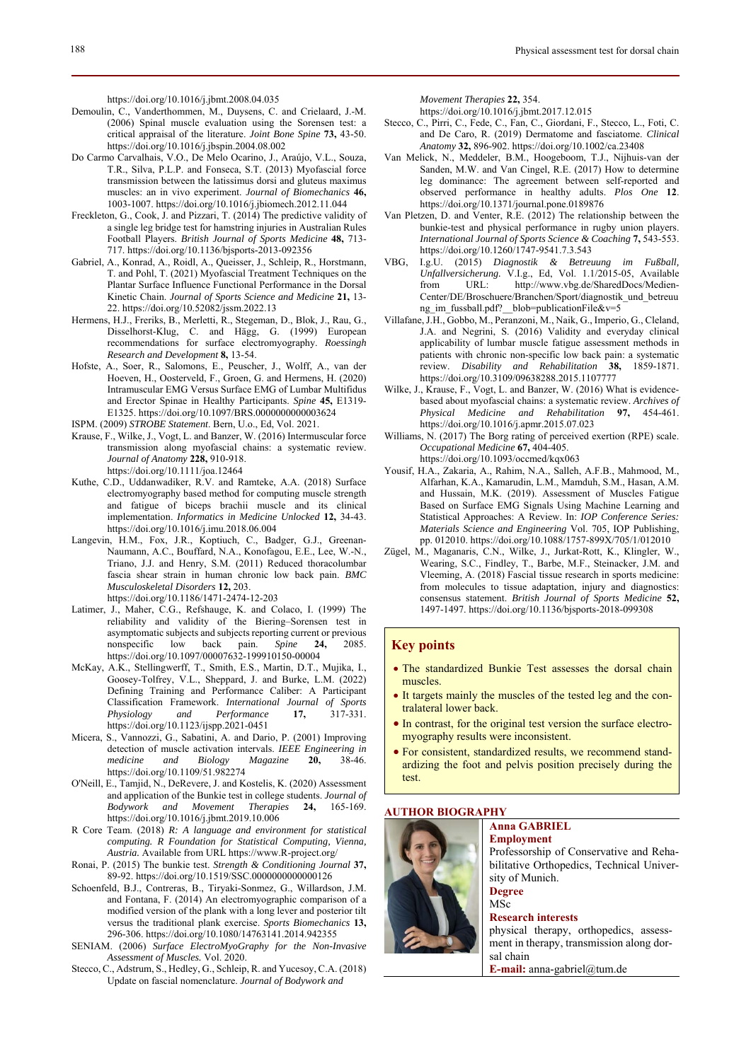https://doi.org/10.1016/j.jbmt.2008.04.035

- Demoulin, C., Vanderthommen, M., Duysens, C. and Crielaard, J.-M. (2006) Spinal muscle evaluation using the Sorensen test: a critical appraisal of the literature. *Joint Bone Spine* **73,** 43-50. https://doi.org/10.1016/j.jbspin.2004.08.002
- Do Carmo Carvalhais, V.O., De Melo Ocarino, J., Araújo, V.L., Souza, T.R., Silva, P.L.P. and Fonseca, S.T. (2013) Myofascial force transmission between the latissimus dorsi and gluteus maximus muscles: an in vivo experiment. *Journal of Biomechanics* **46,** 1003-1007. https://doi.org/10.1016/j.jbiomech.2012.11.044
- Freckleton, G., Cook, J. and Pizzari, T. (2014) The predictive validity of a single leg bridge test for hamstring injuries in Australian Rules Football Players. *British Journal of Sports Medicine* **48,** 713- 717. https://doi.org/10.1136/bjsports-2013-092356
- Gabriel, A., Konrad, A., Roidl, A., Queisser, J., Schleip, R., Horstmann, T. and Pohl, T. (2021) Myofascial Treatment Techniques on the Plantar Surface Influence Functional Performance in the Dorsal Kinetic Chain. *Journal of Sports Science and Medicine* **21,** 13- 22. https://doi.org/10.52082/jssm.2022.13
- Hermens, H.J., Freriks, B., Merletti, R., Stegeman, D., Blok, J., Rau, G., Disselhorst-Klug, C. and Hägg, G. (1999) European recommendations for surface electromyography. *Roessingh Research and Development* **8,** 13-54.
- Hofste, A., Soer, R., Salomons, E., Peuscher, J., Wolff, A., van der Hoeven, H., Oosterveld, F., Groen, G. and Hermens, H. (2020) Intramuscular EMG Versus Surface EMG of Lumbar Multifidus and Erector Spinae in Healthy Participants. *Spine* **45,** E1319- E1325. https://doi.org/10.1097/BRS.0000000000003624
- ISPM. (2009) *STROBE Statement*. Bern, U.o., Ed, Vol. 2021.
- Krause, F., Wilke, J., Vogt, L. and Banzer, W. (2016) Intermuscular force transmission along myofascial chains: a systematic review. *Journal of Anatomy* **228,** 910-918. https://doi.org/10.1111/joa.12464
- Kuthe, C.D., Uddanwadiker, R.V. and Ramteke, A.A. (2018) Surface electromyography based method for computing muscle strength and fatigue of biceps brachii muscle and its clinical implementation. *Informatics in Medicine Unlocked* **12,** 34-43. https://doi.org/10.1016/j.imu.2018.06.004
- Langevin, H.M., Fox, J.R., Koptiuch, C., Badger, G.J., Greenan-Naumann, A.C., Bouffard, N.A., Konofagou, E.E., Lee, W.-N., Triano, J.J. and Henry, S.M. (2011) Reduced thoracolumbar fascia shear strain in human chronic low back pain. *BMC Musculoskeletal Disorders* **12,** 203. https://doi.org/10.1186/1471-2474-12-203
- Latimer, J., Maher, C.G., Refshauge, K. and Colaco, I. (1999) The reliability and validity of the Biering–Sorensen test in asymptomatic subjects and subjects reporting current or previous<br>nonspecific low back pain. Spine 24, 2085. nonspecific low back pain. *Spine* **24,** 2085. https://doi.org/10.1097/00007632-199910150-00004
- McKay, A.K., Stellingwerff, T., Smith, E.S., Martin, D.T., Mujika, I., Goosey-Tolfrey, V.L., Sheppard, J. and Burke, L.M. (2022) Defining Training and Performance Caliber: A Participant Classification Framework. *International Journal of Sports Physiology* and *Performance* 17, https://doi.org/10.1123/ijspp.2021-0451
- Micera, S., Vannozzi, G., Sabatini, A. and Dario, P. (2001) Improving detection of muscle activation intervals. *IEEE Engineering in medicine and Biology Magazine* **20,** 38-46. https://doi.org/10.1109/51.982274
- O'Neill, E., Tamjid, N., DeRevere, J. and Kostelis, K. (2020) Assessment and application of the Bunkie test in college students. *Journal of Bodywork and Movement Therapies* **24,** 165-169. https://doi.org/10.1016/j.jbmt.2019.10.006
- R Core Team. (2018) *R: A language and environment for statistical computing. R Foundation for Statistical Computing, Vienna, Austria.* Available from URL https://www.R-project.org/
- Ronai, P. (2015) The bunkie test. *Strength & Conditioning Journal* **37,** 89-92. https://doi.org/10.1519/SSC.0000000000000126
- Schoenfeld, B.J., Contreras, B., Tiryaki-Sonmez, G., Willardson, J.M. and Fontana, F. (2014) An electromyographic comparison of a modified version of the plank with a long lever and posterior tilt versus the traditional plank exercise. *Sports Biomechanics* **13,** 296-306. https://doi.org/10.1080/14763141.2014.942355
- SENIAM. (2006) *Surface ElectroMyoGraphy for the Non-Invasive Assessment of Muscles.* Vol. 2020.
- Stecco, C., Adstrum, S., Hedley, G., Schleip, R. and Yucesoy, C.A. (2018) Update on fascial nomenclature. *Journal of Bodywork and*

*Movement Therapies* **22,** 354.

https://doi.org/10.1016/j.jbmt.2017.12.015

- Stecco, C., Pirri, C., Fede, C., Fan, C., Giordani, F., Stecco, L., Foti, C. and De Caro, R. (2019) Dermatome and fasciatome. *Clinical Anatomy* **32,** 896-902. https://doi.org/10.1002/ca.23408
- Van Melick, N., Meddeler, B.M., Hoogeboom, T.J., Nijhuis-van der Sanden, M.W. and Van Cingel, R.E. (2017) How to determine leg dominance: The agreement between self-reported and observed performance in healthy adults. *Plos One* **12**. https://doi.org/10.1371/journal.pone.0189876
- Van Pletzen, D. and Venter, R.E. (2012) The relationship between the bunkie-test and physical performance in rugby union players. *International Journal of Sports Science & Coaching* **7,** 543-553. https://doi.org/10.1260/1747-9541.7.3.543
- VBG, I.g.U. (2015) *Diagnostik & Betreuung im Fußball, Unfallversicherung.* V.I.g., Ed, Vol. 1.1/2015-05, Available from URL: http://www.vbg.de/SharedDocs/Medien-Center/DE/Broschuere/Branchen/Sport/diagnostik\_und\_betreuu ng\_im\_fussball.pdf?\_blob=publicationFile&v=5
- Villafane, J.H., Gobbo, M., Peranzoni, M., Naik, G., Imperio, G., Cleland, J.A. and Negrini, S. (2016) Validity and everyday clinical applicability of lumbar muscle fatigue assessment methods in patients with chronic non-specific low back pain: a systematic review. *Disability and Rehabilitation* **38,** 1859-1871. https://doi.org/10.3109/09638288.2015.1107777
- Wilke, J., Krause, F., Vogt, L. and Banzer, W. (2016) What is evidencebased about myofascial chains: a systematic review. *Archives of Physical Medicine and Rehabilitation* **97,** 454-461. https://doi.org/10.1016/j.apmr.2015.07.023
- Williams, N. (2017) The Borg rating of perceived exertion (RPE) scale. *Occupational Medicine* **67,** 404-405. https://doi.org/10.1093/occmed/kqx063
- Yousif, H.A., Zakaria, A., Rahim, N.A., Salleh, A.F.B., Mahmood, M., Alfarhan, K.A., Kamarudin, L.M., Mamduh, S.M., Hasan, A.M. and Hussain, M.K. (2019). Assessment of Muscles Fatigue Based on Surface EMG Signals Using Machine Learning and Statistical Approaches: A Review. In: *IOP Conference Series: Materials Science and Engineering* Vol. 705, IOP Publishing, pp. 012010. https://doi.org/10.1088/1757-899X/705/1/012010
- Zügel, M., Maganaris, C.N., Wilke, J., Jurkat-Rott, K., Klingler, W., Wearing, S.C., Findley, T., Barbe, M.F., Steinacker, J.M. and Vleeming, A. (2018) Fascial tissue research in sports medicine: from molecules to tissue adaptation, injury and diagnostics: consensus statement. *British Journal of Sports Medicine* **52,** 1497-1497. https://doi.org/10.1136/bjsports-2018-099308

# **Key points**

- The standardized Bunkie Test assesses the dorsal chain muscles.
- It targets mainly the muscles of the tested leg and the contralateral lower back.
- $\bullet$  In contrast, for the original test version the surface electromyography results were inconsistent.
- For consistent, standardized results, we recommend standardizing the foot and pelvis position precisely during the test.

### **AUTHOR BIOGRAPHY**



#### **Anna GABRIEL Employment**

Professorship of Conservative and Rehabilitative Orthopedics, Technical University of Munich. **Degree** 

# MSc

## **Research interests**

physical therapy, orthopedics, assessment in therapy, transmission along dorsal chain

**E-mail:** anna-gabriel@tum.de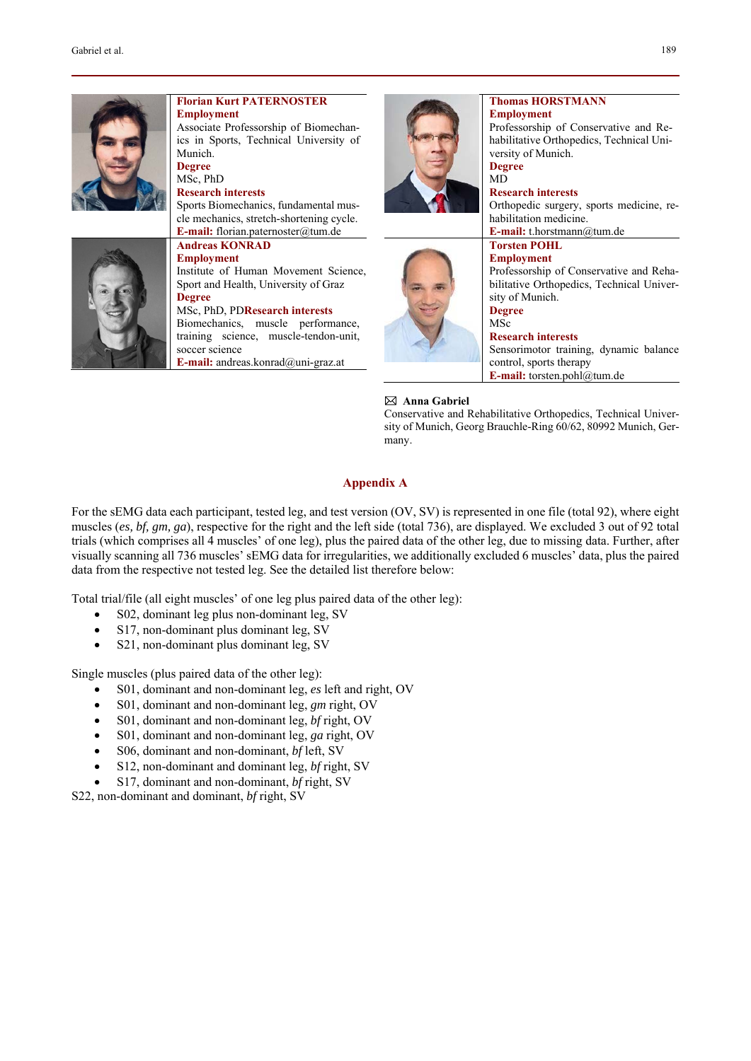

#### **Thomas HORSTMANN Employment**

Professorship of Conservative and Rehabilitative Orthopedics, Technical University of Munich. **Degree** 

MD **Research interests**  Orthopedic surgery, sports medicine, rehabilitation medicine.

**E-mail:** t.horstmann@tum.de

#### **Torsten POHL Employment**

# Professorship of Conservative and Rehabilitative Orthopedics, Technical University of Munich.

**Degree**  MSc

# **Research interests**

Sensorimotor training, dynamic balance control, sports therapy **E-mail:** torsten.pohl@tum.de

# **Anna Gabriel**

Conservative and Rehabilitative Orthopedics, Technical University of Munich, Georg Brauchle-Ring 60/62, 80992 Munich, Germany.

# **Appendix A**

For the sEMG data each participant, tested leg, and test version (OV, SV) is represented in one file (total 92), where eight muscles (*es, bf, gm, ga*), respective for the right and the left side (total 736), are displayed. We excluded 3 out of 92 total trials (which comprises all 4 muscles' of one leg), plus the paired data of the other leg, due to missing data. Further, after visually scanning all 736 muscles' sEMG data for irregularities, we additionally excluded 6 muscles' data, plus the paired data from the respective not tested leg. See the detailed list therefore below:

Total trial/file (all eight muscles' of one leg plus paired data of the other leg):

- S02, dominant leg plus non-dominant leg, SV
- S17, non-dominant plus dominant leg, SV
- S21, non-dominant plus dominant leg, SV

Single muscles (plus paired data of the other leg):

- S01, dominant and non-dominant leg, *es* left and right, OV
- S01, dominant and non-dominant leg, *gm* right, OV
- S01, dominant and non-dominant leg, *bf* right, OV
- S01, dominant and non-dominant leg, *ga* right, OV
- S06, dominant and non-dominant, *bf* left, SV
- S12, non-dominant and dominant leg, *bf* right, SV
- S17, dominant and non-dominant, *bf* right, SV

S22, non-dominant and dominant, *bf* right, SV